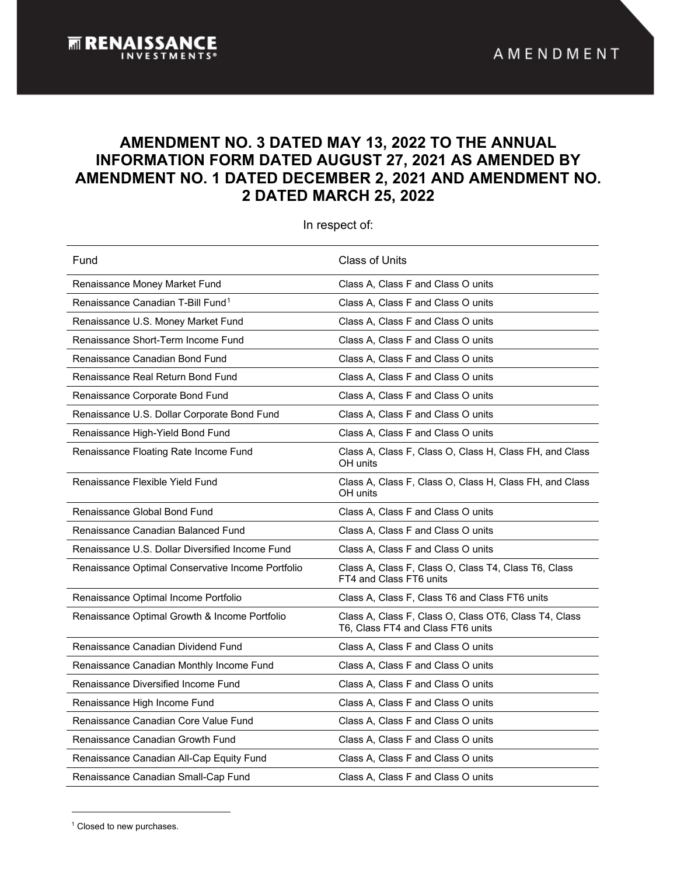## **AMENDMENT NO. 3 DATED MAY 13, 2022 TO THE ANNUAL INFORMATION FORM DATED AUGUST 27, 2021 AS AMENDED BY AMENDMENT NO. 1 DATED DECEMBER 2, 2021 AND AMENDMENT NO. 2 DATED MARCH 25, 2022**

<span id="page-0-1"></span>In respect of:

| Fund                                              | <b>Class of Units</b>                                                                      |
|---------------------------------------------------|--------------------------------------------------------------------------------------------|
| Renaissance Money Market Fund                     | Class A, Class F and Class O units                                                         |
| Renaissance Canadian T-Bill Fund <sup>1</sup>     | Class A, Class F and Class O units                                                         |
| Renaissance U.S. Money Market Fund                | Class A, Class F and Class O units                                                         |
| Renaissance Short-Term Income Fund                | Class A, Class F and Class O units                                                         |
| Renaissance Canadian Bond Fund                    | Class A, Class F and Class O units                                                         |
| Renaissance Real Return Bond Fund                 | Class A, Class F and Class O units                                                         |
| Renaissance Corporate Bond Fund                   | Class A, Class F and Class O units                                                         |
| Renaissance U.S. Dollar Corporate Bond Fund       | Class A, Class F and Class O units                                                         |
| Renaissance High-Yield Bond Fund                  | Class A, Class F and Class O units                                                         |
| Renaissance Floating Rate Income Fund             | Class A, Class F, Class O, Class H, Class FH, and Class<br>OH units                        |
| Renaissance Flexible Yield Fund                   | Class A, Class F, Class O, Class H, Class FH, and Class<br>OH units                        |
| Renaissance Global Bond Fund                      | Class A, Class F and Class O units                                                         |
| Renaissance Canadian Balanced Fund                | Class A, Class F and Class O units                                                         |
| Renaissance U.S. Dollar Diversified Income Fund   | Class A, Class F and Class O units                                                         |
| Renaissance Optimal Conservative Income Portfolio | Class A, Class F, Class O, Class T4, Class T6, Class<br>FT4 and Class FT6 units            |
| Renaissance Optimal Income Portfolio              | Class A, Class F, Class T6 and Class FT6 units                                             |
| Renaissance Optimal Growth & Income Portfolio     | Class A, Class F, Class O, Class OT6, Class T4, Class<br>T6, Class FT4 and Class FT6 units |
| Renaissance Canadian Dividend Fund                | Class A, Class F and Class O units                                                         |
| Renaissance Canadian Monthly Income Fund          | Class A, Class F and Class O units                                                         |
| Renaissance Diversified Income Fund               | Class A, Class F and Class O units                                                         |
| Renaissance High Income Fund                      | Class A, Class F and Class O units                                                         |
| Renaissance Canadian Core Value Fund              | Class A, Class F and Class O units                                                         |
| Renaissance Canadian Growth Fund                  | Class A, Class F and Class O units                                                         |
| Renaissance Canadian All-Cap Equity Fund          | Class A, Class F and Class O units                                                         |
| Renaissance Canadian Small-Cap Fund               | Class A, Class F and Class O units                                                         |

<span id="page-0-0"></span><sup>1</sup> Closed to new purchases.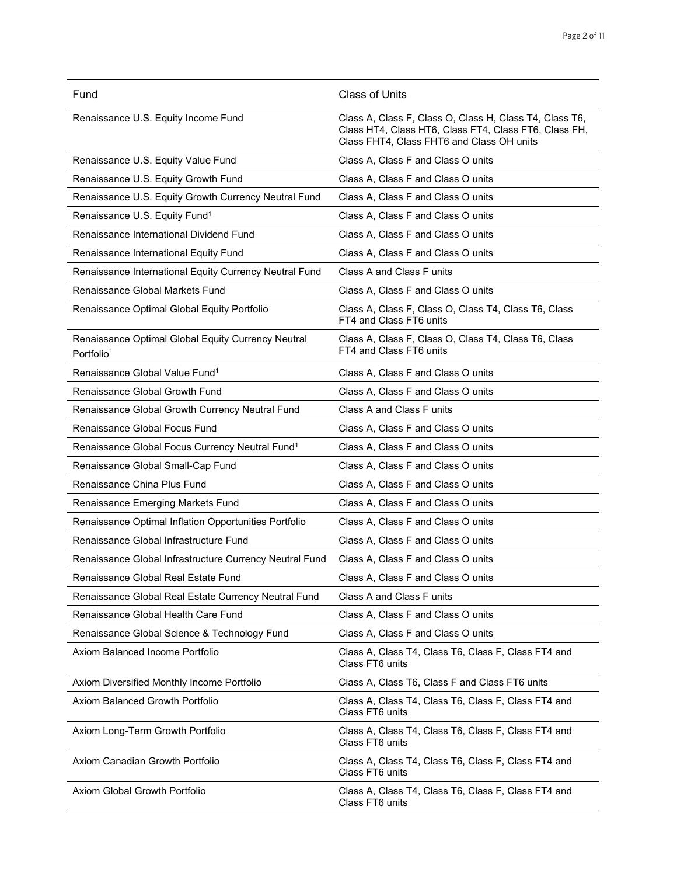| Fund                                                                         | <b>Class of Units</b>                                                                                                                                         |
|------------------------------------------------------------------------------|---------------------------------------------------------------------------------------------------------------------------------------------------------------|
| Renaissance U.S. Equity Income Fund                                          | Class A, Class F, Class O, Class H, Class T4, Class T6,<br>Class HT4, Class HT6, Class FT4, Class FT6, Class FH,<br>Class FHT4, Class FHT6 and Class OH units |
| Renaissance U.S. Equity Value Fund                                           | Class A, Class F and Class O units                                                                                                                            |
| Renaissance U.S. Equity Growth Fund                                          | Class A, Class F and Class O units                                                                                                                            |
| Renaissance U.S. Equity Growth Currency Neutral Fund                         | Class A, Class F and Class O units                                                                                                                            |
| Renaissance U.S. Equity Fund <sup>1</sup>                                    | Class A, Class F and Class O units                                                                                                                            |
| Renaissance International Dividend Fund                                      | Class A, Class F and Class O units                                                                                                                            |
| Renaissance International Equity Fund                                        | Class A, Class F and Class O units                                                                                                                            |
| Renaissance International Equity Currency Neutral Fund                       | Class A and Class F units                                                                                                                                     |
| <b>Renaissance Global Markets Fund</b>                                       | Class A, Class F and Class O units                                                                                                                            |
| Renaissance Optimal Global Equity Portfolio                                  | Class A, Class F, Class O, Class T4, Class T6, Class<br>FT4 and Class FT6 units                                                                               |
| Renaissance Optimal Global Equity Currency Neutral<br>Portfolio <sup>1</sup> | Class A, Class F, Class O, Class T4, Class T6, Class<br>FT4 and Class FT6 units                                                                               |
| Renaissance Global Value Fund <sup>1</sup>                                   | Class A, Class F and Class O units                                                                                                                            |
| <b>Renaissance Global Growth Fund</b>                                        | Class A, Class F and Class O units                                                                                                                            |
| Renaissance Global Growth Currency Neutral Fund                              | Class A and Class F units                                                                                                                                     |
| Renaissance Global Focus Fund                                                | Class A, Class F and Class O units                                                                                                                            |
| Renaissance Global Focus Currency Neutral Fund <sup>1</sup>                  | Class A, Class F and Class O units                                                                                                                            |
| Renaissance Global Small-Cap Fund                                            | Class A, Class F and Class O units                                                                                                                            |
| Renaissance China Plus Fund                                                  | Class A, Class F and Class O units                                                                                                                            |
| Renaissance Emerging Markets Fund                                            | Class A, Class F and Class O units                                                                                                                            |
| Renaissance Optimal Inflation Opportunities Portfolio                        | Class A, Class F and Class O units                                                                                                                            |
| Renaissance Global Infrastructure Fund                                       | Class A, Class F and Class O units                                                                                                                            |
| Renaissance Global Infrastructure Currency Neutral Fund                      | Class A, Class F and Class O units                                                                                                                            |
| Renaissance Global Real Estate Fund                                          | Class A, Class F and Class O units                                                                                                                            |
| Renaissance Global Real Estate Currency Neutral Fund                         | Class A and Class F units                                                                                                                                     |
| Renaissance Global Health Care Fund                                          | Class A, Class F and Class O units                                                                                                                            |
| Renaissance Global Science & Technology Fund                                 | Class A, Class F and Class O units                                                                                                                            |
| Axiom Balanced Income Portfolio                                              | Class A, Class T4, Class T6, Class F, Class FT4 and<br>Class FT6 units                                                                                        |
| Axiom Diversified Monthly Income Portfolio                                   | Class A, Class T6, Class F and Class FT6 units                                                                                                                |
| Axiom Balanced Growth Portfolio                                              | Class A, Class T4, Class T6, Class F, Class FT4 and<br>Class FT6 units                                                                                        |
| Axiom Long-Term Growth Portfolio                                             | Class A, Class T4, Class T6, Class F, Class FT4 and<br>Class FT6 units                                                                                        |
| Axiom Canadian Growth Portfolio                                              | Class A, Class T4, Class T6, Class F, Class FT4 and<br>Class FT6 units                                                                                        |
| Axiom Global Growth Portfolio                                                | Class A, Class T4, Class T6, Class F, Class FT4 and<br>Class FT6 units                                                                                        |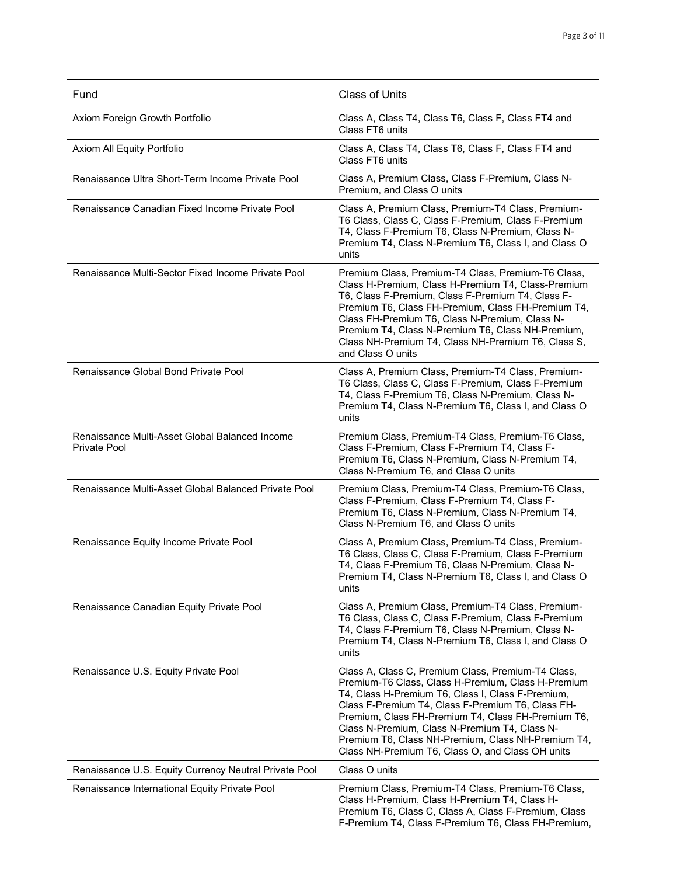| Fund                                                           | <b>Class of Units</b>                                                                                                                                                                                                                                                                                                                                                                                                               |
|----------------------------------------------------------------|-------------------------------------------------------------------------------------------------------------------------------------------------------------------------------------------------------------------------------------------------------------------------------------------------------------------------------------------------------------------------------------------------------------------------------------|
| Axiom Foreign Growth Portfolio                                 | Class A, Class T4, Class T6, Class F, Class FT4 and<br>Class FT6 units                                                                                                                                                                                                                                                                                                                                                              |
| Axiom All Equity Portfolio                                     | Class A, Class T4, Class T6, Class F, Class FT4 and<br>Class FT6 units                                                                                                                                                                                                                                                                                                                                                              |
| Renaissance Ultra Short-Term Income Private Pool               | Class A, Premium Class, Class F-Premium, Class N-<br>Premium, and Class O units                                                                                                                                                                                                                                                                                                                                                     |
| Renaissance Canadian Fixed Income Private Pool                 | Class A, Premium Class, Premium-T4 Class, Premium-<br>T6 Class, Class C, Class F-Premium, Class F-Premium<br>T4, Class F-Premium T6, Class N-Premium, Class N-<br>Premium T4, Class N-Premium T6, Class I, and Class O<br>units                                                                                                                                                                                                     |
| Renaissance Multi-Sector Fixed Income Private Pool             | Premium Class, Premium-T4 Class, Premium-T6 Class,<br>Class H-Premium, Class H-Premium T4, Class-Premium<br>T6, Class F-Premium, Class F-Premium T4, Class F-<br>Premium T6, Class FH-Premium, Class FH-Premium T4,<br>Class FH-Premium T6, Class N-Premium, Class N-<br>Premium T4, Class N-Premium T6, Class NH-Premium,<br>Class NH-Premium T4, Class NH-Premium T6, Class S,<br>and Class O units                               |
| Renaissance Global Bond Private Pool                           | Class A, Premium Class, Premium-T4 Class, Premium-<br>T6 Class, Class C, Class F-Premium, Class F-Premium<br>T4, Class F-Premium T6, Class N-Premium, Class N-<br>Premium T4, Class N-Premium T6, Class I, and Class O<br>units                                                                                                                                                                                                     |
| Renaissance Multi-Asset Global Balanced Income<br>Private Pool | Premium Class, Premium-T4 Class, Premium-T6 Class,<br>Class F-Premium, Class F-Premium T4, Class F-<br>Premium T6, Class N-Premium, Class N-Premium T4,<br>Class N-Premium T6, and Class O units                                                                                                                                                                                                                                    |
| Renaissance Multi-Asset Global Balanced Private Pool           | Premium Class, Premium-T4 Class, Premium-T6 Class,<br>Class F-Premium, Class F-Premium T4, Class F-<br>Premium T6, Class N-Premium, Class N-Premium T4,<br>Class N-Premium T6, and Class O units                                                                                                                                                                                                                                    |
| Renaissance Equity Income Private Pool                         | Class A, Premium Class, Premium-T4 Class, Premium-<br>T6 Class, Class C, Class F-Premium, Class F-Premium<br>T4, Class F-Premium T6, Class N-Premium, Class N-<br>Premium T4, Class N-Premium T6, Class I, and Class O<br>units                                                                                                                                                                                                     |
| Renaissance Canadian Equity Private Pool                       | Class A, Premium Class, Premium-T4 Class, Premium-<br>T6 Class, Class C, Class F-Premium, Class F-Premium<br>T4, Class F-Premium T6, Class N-Premium, Class N-<br>Premium T4, Class N-Premium T6, Class I, and Class O<br>units                                                                                                                                                                                                     |
| Renaissance U.S. Equity Private Pool                           | Class A, Class C, Premium Class, Premium-T4 Class,<br>Premium-T6 Class, Class H-Premium, Class H-Premium<br>T4, Class H-Premium T6, Class I, Class F-Premium,<br>Class F-Premium T4, Class F-Premium T6, Class FH-<br>Premium, Class FH-Premium T4, Class FH-Premium T6,<br>Class N-Premium, Class N-Premium T4, Class N-<br>Premium T6, Class NH-Premium, Class NH-Premium T4,<br>Class NH-Premium T6, Class O, and Class OH units |
| Renaissance U.S. Equity Currency Neutral Private Pool          | Class O units                                                                                                                                                                                                                                                                                                                                                                                                                       |
| Renaissance International Equity Private Pool                  | Premium Class, Premium-T4 Class, Premium-T6 Class,<br>Class H-Premium, Class H-Premium T4, Class H-<br>Premium T6, Class C, Class A, Class F-Premium, Class<br>F-Premium T4, Class F-Premium T6, Class FH-Premium,                                                                                                                                                                                                                  |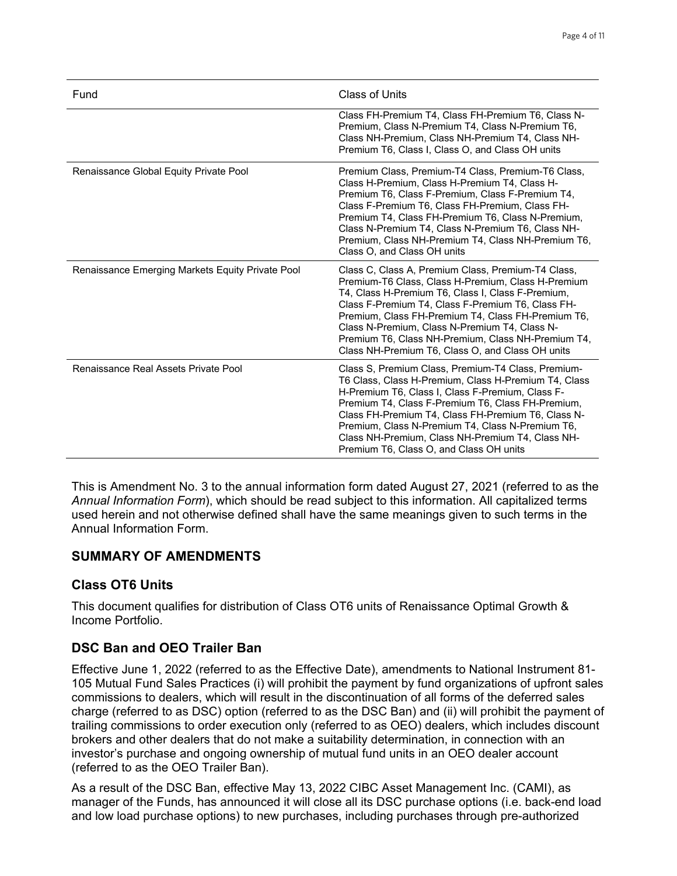| Fund                                             | Class of Units                                                                                                                                                                                                                                                                                                                                                                                                                      |
|--------------------------------------------------|-------------------------------------------------------------------------------------------------------------------------------------------------------------------------------------------------------------------------------------------------------------------------------------------------------------------------------------------------------------------------------------------------------------------------------------|
|                                                  | Class FH-Premium T4, Class FH-Premium T6, Class N-<br>Premium, Class N-Premium T4, Class N-Premium T6,<br>Class NH-Premium, Class NH-Premium T4, Class NH-<br>Premium T6, Class I, Class O, and Class OH units                                                                                                                                                                                                                      |
| Renaissance Global Equity Private Pool           | Premium Class, Premium-T4 Class, Premium-T6 Class,<br>Class H-Premium, Class H-Premium T4, Class H-<br>Premium T6, Class F-Premium, Class F-Premium T4,<br>Class F-Premium T6, Class FH-Premium, Class FH-<br>Premium T4, Class FH-Premium T6, Class N-Premium,<br>Class N-Premium T4, Class N-Premium T6, Class NH-<br>Premium, Class NH-Premium T4, Class NH-Premium T6,<br>Class O, and Class OH units                           |
| Renaissance Emerging Markets Equity Private Pool | Class C, Class A, Premium Class, Premium-T4 Class,<br>Premium-T6 Class, Class H-Premium, Class H-Premium<br>T4, Class H-Premium T6, Class I, Class F-Premium,<br>Class F-Premium T4, Class F-Premium T6, Class FH-<br>Premium, Class FH-Premium T4, Class FH-Premium T6,<br>Class N-Premium, Class N-Premium T4, Class N-<br>Premium T6, Class NH-Premium, Class NH-Premium T4,<br>Class NH-Premium T6, Class O, and Class OH units |
| Renaissance Real Assets Private Pool             | Class S, Premium Class, Premium-T4 Class, Premium-<br>T6 Class, Class H-Premium, Class H-Premium T4, Class<br>H-Premium T6, Class I, Class F-Premium, Class F-<br>Premium T4, Class F-Premium T6, Class FH-Premium,<br>Class FH-Premium T4, Class FH-Premium T6, Class N-<br>Premium, Class N-Premium T4, Class N-Premium T6,<br>Class NH-Premium, Class NH-Premium T4, Class NH-<br>Premium T6, Class O, and Class OH units        |

This is Amendment No. 3 to the annual information form dated August 27, 2021 (referred to as the *Annual Information Form*), which should be read subject to this information. All capitalized terms used herein and not otherwise defined shall have the same meanings given to such terms in the Annual Information Form.

## **SUMMARY OF AMENDMENTS**

#### **Class OT6 Units**

This document qualifies for distribution of Class OT6 units of Renaissance Optimal Growth & Income Portfolio.

## **DSC Ban and OEO Trailer Ban**

Effective June 1, 2022 (referred to as the Effective Date), amendments to National Instrument 81- 105 Mutual Fund Sales Practices (i) will prohibit the payment by fund organizations of upfront sales commissions to dealers, which will result in the discontinuation of all forms of the deferred sales charge (referred to as DSC) option (referred to as the DSC Ban) and (ii) will prohibit the payment of trailing commissions to order execution only (referred to as OEO) dealers, which includes discount brokers and other dealers that do not make a suitability determination, in connection with an investor's purchase and ongoing ownership of mutual fund units in an OEO dealer account (referred to as the OEO Trailer Ban).

As a result of the DSC Ban, effective May 13, 2022 CIBC Asset Management Inc. (CAMI), as manager of the Funds, has announced it will close all its DSC purchase options (i.e. back-end load and low load purchase options) to new purchases, including purchases through pre-authorized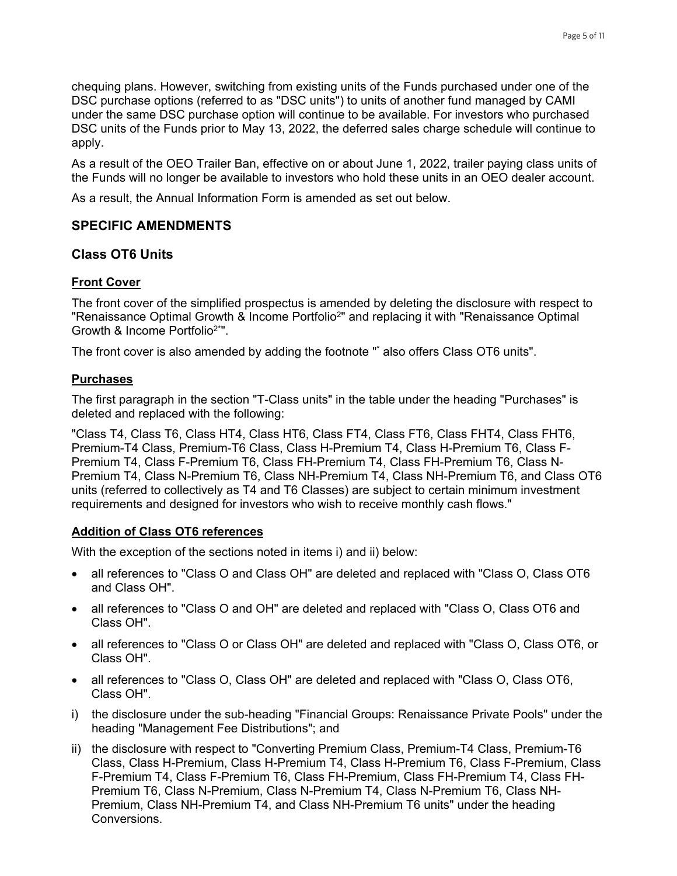chequing plans. However, switching from existing units of the Funds purchased under one of the DSC purchase options (referred to as "DSC units") to units of another fund managed by CAMI under the same DSC purchase option will continue to be available. For investors who purchased DSC units of the Funds prior to May 13, 2022, the deferred sales charge schedule will continue to apply.

As a result of the OEO Trailer Ban, effective on or about June 1, 2022, trailer paying class units of the Funds will no longer be available to investors who hold these units in an OEO dealer account.

As a result, the Annual Information Form is amended as set out below.

#### **SPECIFIC AMENDMENTS**

#### **Class OT6 Units**

#### **Front Cover**

The front cover of the simplified prospectus is amended by deleting the disclosure with respect to "Renaissance Optimal Growth & Income Portfolio<sup>2</sup>" and replacing it with "Renaissance Optimal Growth & Income Portfolio2\*".

The front cover is also amended by adding the footnote "\* also offers Class OT6 units".

#### **Purchases**

The first paragraph in the section "T-Class units" in the table under the heading "Purchases" is deleted and replaced with the following:

"Class T4, Class T6, Class HT4, Class HT6, Class FT4, Class FT6, Class FHT4, Class FHT6, Premium-T4 Class, Premium-T6 Class, Class H-Premium T4, Class H-Premium T6, Class F-Premium T4, Class F-Premium T6, Class FH-Premium T4, Class FH-Premium T6, Class N-Premium T4, Class N-Premium T6, Class NH-Premium T4, Class NH-Premium T6, and Class OT6 units (referred to collectively as T4 and T6 Classes) are subject to certain minimum investment requirements and designed for investors who wish to receive monthly cash flows."

#### **Addition of Class OT6 references**

With the exception of the sections noted in items i) and ii) below:

- all references to "Class O and Class OH" are deleted and replaced with "Class O, Class OT6 and Class OH".
- all references to "Class O and OH" are deleted and replaced with "Class O, Class OT6 and Class OH".
- all references to "Class O or Class OH" are deleted and replaced with "Class O, Class OT6, or Class OH".
- all references to "Class O, Class OH" are deleted and replaced with "Class O, Class OT6, Class OH".
- i) the disclosure under the sub-heading "Financial Groups: Renaissance Private Pools" under the heading "Management Fee Distributions"; and
- ii) the disclosure with respect to "Converting Premium Class, Premium-T4 Class, Premium-T6 Class, Class H-Premium, Class H-Premium T4, Class H-Premium T6, Class F-Premium, Class F-Premium T4, Class F-Premium T6, Class FH-Premium, Class FH-Premium T4, Class FH-Premium T6, Class N-Premium, Class N-Premium T4, Class N-Premium T6, Class NH-Premium, Class NH-Premium T4, and Class NH-Premium T6 units" under the heading Conversions.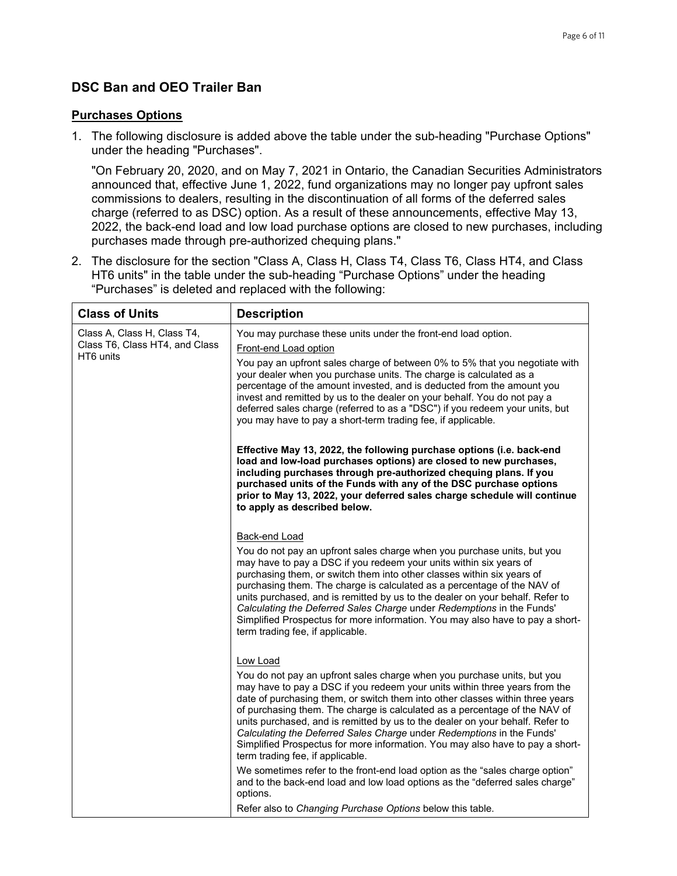## **DSC Ban and OEO Trailer Ban**

#### **Purchases Options**

 $\mathsf{r}$ 

1. The following disclosure is added above the table under the sub-heading "Purchase Options" under the heading "Purchases".

"On February 20, 2020, and on May 7, 2021 in Ontario, the Canadian Securities Administrators announced that, effective June 1, 2022, fund organizations may no longer pay upfront sales commissions to dealers, resulting in the discontinuation of all forms of the deferred sales charge (referred to as DSC) option. As a result of these announcements, effective May 13, 2022, the back-end load and low load purchase options are closed to new purchases, including purchases made through pre-authorized chequing plans."

2. The disclosure for the section "Class A, Class H, Class T4, Class T6, Class HT4, and Class HT6 units" in the table under the sub-heading "Purchase Options" under the heading "Purchases" is deleted and replaced with the following:

| <b>Class of Units</b>                       | <b>Description</b>                                                                                                                                                                                                                                                                                                                                                                                                                                                                                                                                                                                              |
|---------------------------------------------|-----------------------------------------------------------------------------------------------------------------------------------------------------------------------------------------------------------------------------------------------------------------------------------------------------------------------------------------------------------------------------------------------------------------------------------------------------------------------------------------------------------------------------------------------------------------------------------------------------------------|
| Class A, Class H, Class T4,                 | You may purchase these units under the front-end load option.                                                                                                                                                                                                                                                                                                                                                                                                                                                                                                                                                   |
| Class T6, Class HT4, and Class<br>HT6 units | Front-end Load option                                                                                                                                                                                                                                                                                                                                                                                                                                                                                                                                                                                           |
|                                             | You pay an upfront sales charge of between 0% to 5% that you negotiate with<br>your dealer when you purchase units. The charge is calculated as a<br>percentage of the amount invested, and is deducted from the amount you<br>invest and remitted by us to the dealer on your behalf. You do not pay a<br>deferred sales charge (referred to as a "DSC") if you redeem your units, but<br>you may have to pay a short-term trading fee, if applicable.                                                                                                                                                         |
|                                             | Effective May 13, 2022, the following purchase options (i.e. back-end<br>load and low-load purchases options) are closed to new purchases,<br>including purchases through pre-authorized chequing plans. If you<br>purchased units of the Funds with any of the DSC purchase options<br>prior to May 13, 2022, your deferred sales charge schedule will continue<br>to apply as described below.                                                                                                                                                                                                                |
|                                             | Back-end Load                                                                                                                                                                                                                                                                                                                                                                                                                                                                                                                                                                                                   |
|                                             | You do not pay an upfront sales charge when you purchase units, but you<br>may have to pay a DSC if you redeem your units within six years of<br>purchasing them, or switch them into other classes within six years of<br>purchasing them. The charge is calculated as a percentage of the NAV of<br>units purchased, and is remitted by us to the dealer on your behalf. Refer to<br>Calculating the Deferred Sales Charge under Redemptions in the Funds'<br>Simplified Prospectus for more information. You may also have to pay a short-<br>term trading fee, if applicable.                               |
|                                             | Low Load<br>You do not pay an upfront sales charge when you purchase units, but you<br>may have to pay a DSC if you redeem your units within three years from the<br>date of purchasing them, or switch them into other classes within three years<br>of purchasing them. The charge is calculated as a percentage of the NAV of<br>units purchased, and is remitted by us to the dealer on your behalf. Refer to<br>Calculating the Deferred Sales Charge under Redemptions in the Funds'<br>Simplified Prospectus for more information. You may also have to pay a short-<br>term trading fee, if applicable. |
|                                             | We sometimes refer to the front-end load option as the "sales charge option"<br>and to the back-end load and low load options as the "deferred sales charge"<br>options.                                                                                                                                                                                                                                                                                                                                                                                                                                        |
|                                             | Refer also to Changing Purchase Options below this table.                                                                                                                                                                                                                                                                                                                                                                                                                                                                                                                                                       |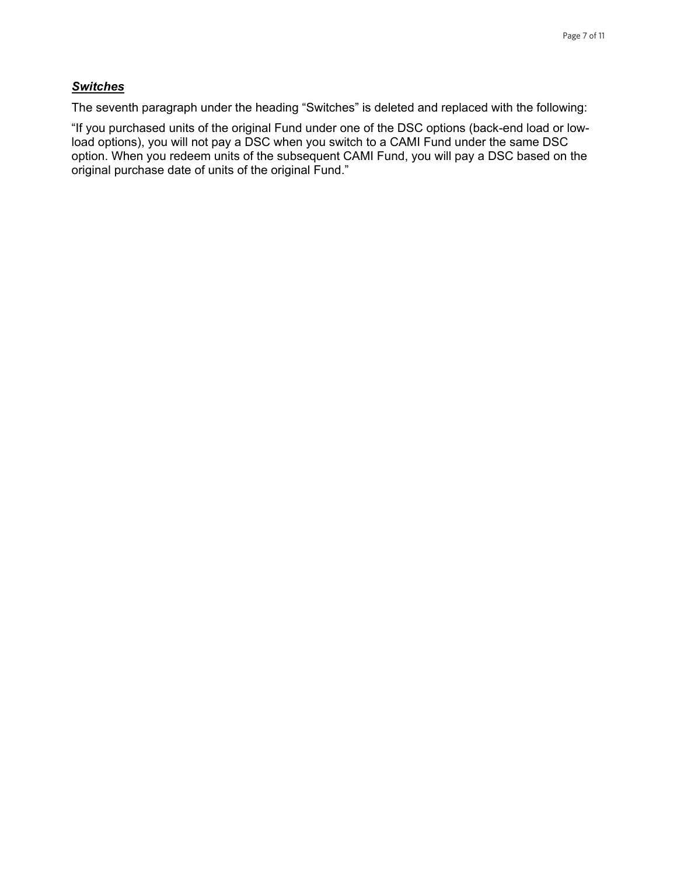#### *Switches*

The seventh paragraph under the heading "Switches" is deleted and replaced with the following:

"If you purchased units of the original Fund under one of the DSC options (back-end load or lowload options), you will not pay a DSC when you switch to a CAMI Fund under the same DSC option. When you redeem units of the subsequent CAMI Fund, you will pay a DSC based on the original purchase date of units of the original Fund."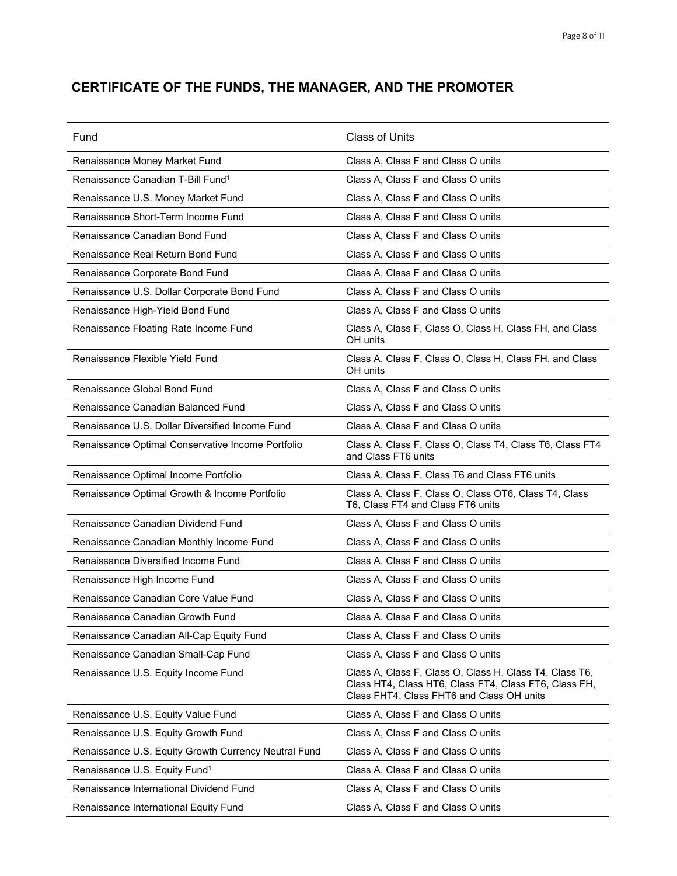# **CERTIFICATE OF THE FUNDS, THE MANAGER, AND THE PROMOTER**

| Fund                                                 | <b>Class of Units</b>                                                                                                                                         |
|------------------------------------------------------|---------------------------------------------------------------------------------------------------------------------------------------------------------------|
| Renaissance Money Market Fund                        | Class A, Class F and Class O units                                                                                                                            |
| Renaissance Canadian T-Bill Fund <sup>1</sup>        | Class A, Class F and Class O units                                                                                                                            |
| Renaissance U.S. Money Market Fund                   | Class A, Class F and Class O units                                                                                                                            |
| Renaissance Short-Term Income Fund                   | Class A, Class F and Class O units                                                                                                                            |
| Renaissance Canadian Bond Fund                       | Class A, Class F and Class O units                                                                                                                            |
| Renaissance Real Return Bond Fund                    | Class A, Class F and Class O units                                                                                                                            |
| Renaissance Corporate Bond Fund                      | Class A, Class F and Class O units                                                                                                                            |
| Renaissance U.S. Dollar Corporate Bond Fund          | Class A, Class F and Class O units                                                                                                                            |
| Renaissance High-Yield Bond Fund                     | Class A, Class F and Class O units                                                                                                                            |
| Renaissance Floating Rate Income Fund                | Class A, Class F, Class O, Class H, Class FH, and Class<br>OH units                                                                                           |
| Renaissance Flexible Yield Fund                      | Class A, Class F, Class O, Class H, Class FH, and Class<br>OH units                                                                                           |
| Renaissance Global Bond Fund                         | Class A, Class F and Class O units                                                                                                                            |
| Renaissance Canadian Balanced Fund                   | Class A, Class F and Class O units                                                                                                                            |
| Renaissance U.S. Dollar Diversified Income Fund      | Class A, Class F and Class O units                                                                                                                            |
| Renaissance Optimal Conservative Income Portfolio    | Class A, Class F, Class O, Class T4, Class T6, Class FT4<br>and Class FT6 units                                                                               |
| Renaissance Optimal Income Portfolio                 | Class A, Class F, Class T6 and Class FT6 units                                                                                                                |
| Renaissance Optimal Growth & Income Portfolio        | Class A, Class F, Class O, Class OT6, Class T4, Class<br>T6, Class FT4 and Class FT6 units                                                                    |
| Renaissance Canadian Dividend Fund                   | Class A, Class F and Class O units                                                                                                                            |
| Renaissance Canadian Monthly Income Fund             | Class A, Class F and Class O units                                                                                                                            |
| Renaissance Diversified Income Fund                  | Class A, Class F and Class O units                                                                                                                            |
| Renaissance High Income Fund                         | Class A, Class F and Class O units                                                                                                                            |
| Renaissance Canadian Core Value Fund                 | Class A, Class F and Class O units                                                                                                                            |
| Renaissance Canadian Growth Fund                     | Class A, Class F and Class O units                                                                                                                            |
| Renaissance Canadian All-Cap Equity Fund             | Class A, Class F and Class O units                                                                                                                            |
| Renaissance Canadian Small-Cap Fund                  | Class A, Class F and Class O units                                                                                                                            |
| Renaissance U.S. Equity Income Fund                  | Class A, Class F, Class O, Class H, Class T4, Class T6,<br>Class HT4, Class HT6, Class FT4, Class FT6, Class FH,<br>Class FHT4, Class FHT6 and Class OH units |
| Renaissance U.S. Equity Value Fund                   | Class A, Class F and Class O units                                                                                                                            |
| Renaissance U.S. Equity Growth Fund                  | Class A, Class F and Class O units                                                                                                                            |
| Renaissance U.S. Equity Growth Currency Neutral Fund | Class A, Class F and Class O units                                                                                                                            |
| Renaissance U.S. Equity Fund <sup>1</sup>            | Class A, Class F and Class O units                                                                                                                            |
| Renaissance International Dividend Fund              | Class A, Class F and Class O units                                                                                                                            |
| Renaissance International Equity Fund                | Class A, Class F and Class O units                                                                                                                            |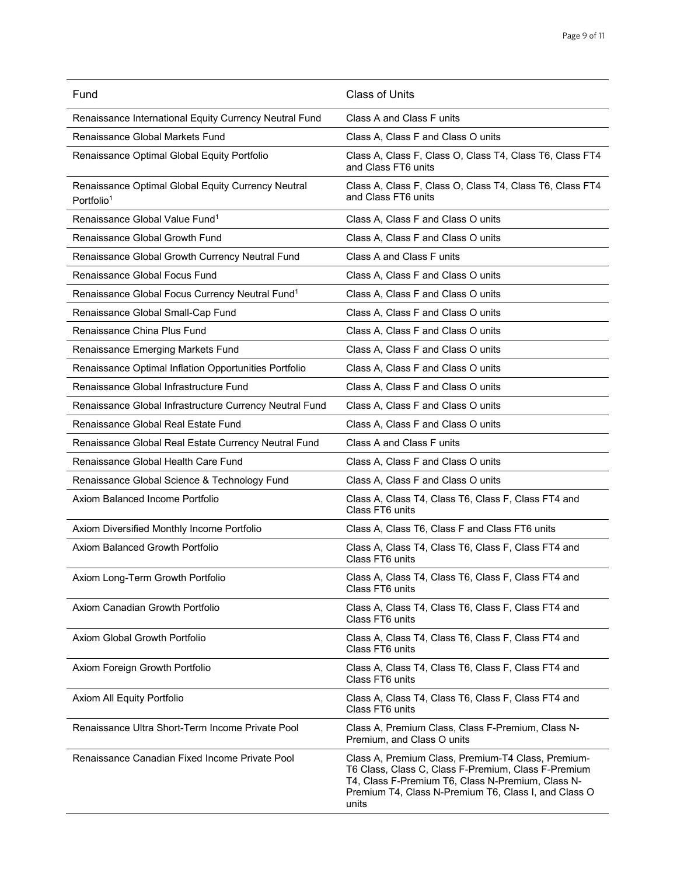| Fund                                                                         | <b>Class of Units</b>                                                                                                                                                                                                           |
|------------------------------------------------------------------------------|---------------------------------------------------------------------------------------------------------------------------------------------------------------------------------------------------------------------------------|
| Renaissance International Equity Currency Neutral Fund                       | Class A and Class F units                                                                                                                                                                                                       |
| Renaissance Global Markets Fund                                              | Class A, Class F and Class O units                                                                                                                                                                                              |
| Renaissance Optimal Global Equity Portfolio                                  | Class A, Class F, Class O, Class T4, Class T6, Class FT4<br>and Class FT6 units                                                                                                                                                 |
| Renaissance Optimal Global Equity Currency Neutral<br>Portfolio <sup>1</sup> | Class A, Class F, Class O, Class T4, Class T6, Class FT4<br>and Class FT6 units                                                                                                                                                 |
| Renaissance Global Value Fund <sup>1</sup>                                   | Class A, Class F and Class O units                                                                                                                                                                                              |
| Renaissance Global Growth Fund                                               | Class A, Class F and Class O units                                                                                                                                                                                              |
| Renaissance Global Growth Currency Neutral Fund                              | Class A and Class F units                                                                                                                                                                                                       |
| Renaissance Global Focus Fund                                                | Class A, Class F and Class O units                                                                                                                                                                                              |
| Renaissance Global Focus Currency Neutral Fund <sup>1</sup>                  | Class A, Class F and Class O units                                                                                                                                                                                              |
| Renaissance Global Small-Cap Fund                                            | Class A, Class F and Class O units                                                                                                                                                                                              |
| Renaissance China Plus Fund                                                  | Class A, Class F and Class O units                                                                                                                                                                                              |
| Renaissance Emerging Markets Fund                                            | Class A, Class F and Class O units                                                                                                                                                                                              |
| Renaissance Optimal Inflation Opportunities Portfolio                        | Class A, Class F and Class O units                                                                                                                                                                                              |
| Renaissance Global Infrastructure Fund                                       | Class A, Class F and Class O units                                                                                                                                                                                              |
| Renaissance Global Infrastructure Currency Neutral Fund                      | Class A, Class F and Class O units                                                                                                                                                                                              |
| Renaissance Global Real Estate Fund                                          | Class A, Class F and Class O units                                                                                                                                                                                              |
| Renaissance Global Real Estate Currency Neutral Fund                         | Class A and Class F units                                                                                                                                                                                                       |
| Renaissance Global Health Care Fund                                          | Class A, Class F and Class O units                                                                                                                                                                                              |
| Renaissance Global Science & Technology Fund                                 | Class A, Class F and Class O units                                                                                                                                                                                              |
| Axiom Balanced Income Portfolio                                              | Class A, Class T4, Class T6, Class F, Class FT4 and<br>Class FT6 units                                                                                                                                                          |
| Axiom Diversified Monthly Income Portfolio                                   | Class A, Class T6, Class F and Class FT6 units                                                                                                                                                                                  |
| Axiom Balanced Growth Portfolio                                              | Class A, Class T4, Class T6, Class F, Class FT4 and<br>Class FT6 units                                                                                                                                                          |
| Axiom Long-Term Growth Portfolio                                             | Class A, Class T4, Class T6, Class F, Class FT4 and<br>Class FT6 units                                                                                                                                                          |
| Axiom Canadian Growth Portfolio                                              | Class A, Class T4, Class T6, Class F, Class FT4 and<br>Class FT6 units                                                                                                                                                          |
| Axiom Global Growth Portfolio                                                | Class A, Class T4, Class T6, Class F, Class FT4 and<br>Class FT6 units                                                                                                                                                          |
| Axiom Foreign Growth Portfolio                                               | Class A, Class T4, Class T6, Class F, Class FT4 and<br>Class FT6 units                                                                                                                                                          |
| Axiom All Equity Portfolio                                                   | Class A, Class T4, Class T6, Class F, Class FT4 and<br>Class FT6 units                                                                                                                                                          |
| Renaissance Ultra Short-Term Income Private Pool                             | Class A, Premium Class, Class F-Premium, Class N-<br>Premium, and Class O units                                                                                                                                                 |
| Renaissance Canadian Fixed Income Private Pool                               | Class A, Premium Class, Premium-T4 Class, Premium-<br>T6 Class, Class C, Class F-Premium, Class F-Premium<br>T4, Class F-Premium T6, Class N-Premium, Class N-<br>Premium T4, Class N-Premium T6, Class I, and Class O<br>units |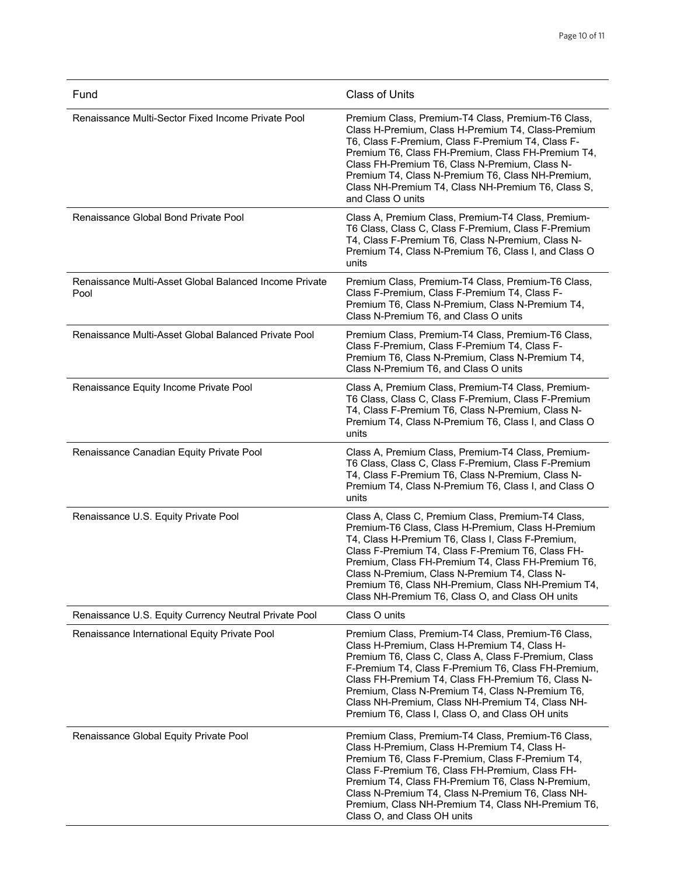| Fund                                                           | <b>Class of Units</b>                                                                                                                                                                                                                                                                                                                                                                                                                |
|----------------------------------------------------------------|--------------------------------------------------------------------------------------------------------------------------------------------------------------------------------------------------------------------------------------------------------------------------------------------------------------------------------------------------------------------------------------------------------------------------------------|
| Renaissance Multi-Sector Fixed Income Private Pool             | Premium Class, Premium-T4 Class, Premium-T6 Class,<br>Class H-Premium, Class H-Premium T4, Class-Premium<br>T6, Class F-Premium, Class F-Premium T4, Class F-<br>Premium T6, Class FH-Premium, Class FH-Premium T4,<br>Class FH-Premium T6, Class N-Premium, Class N-<br>Premium T4, Class N-Premium T6, Class NH-Premium,<br>Class NH-Premium T4, Class NH-Premium T6, Class S,<br>and Class O units                                |
| Renaissance Global Bond Private Pool                           | Class A, Premium Class, Premium-T4 Class, Premium-<br>T6 Class, Class C, Class F-Premium, Class F-Premium<br>T4, Class F-Premium T6, Class N-Premium, Class N-<br>Premium T4, Class N-Premium T6, Class I, and Class O<br>units                                                                                                                                                                                                      |
| Renaissance Multi-Asset Global Balanced Income Private<br>Pool | Premium Class, Premium-T4 Class, Premium-T6 Class,<br>Class F-Premium, Class F-Premium T4, Class F-<br>Premium T6, Class N-Premium, Class N-Premium T4,<br>Class N-Premium T6, and Class O units                                                                                                                                                                                                                                     |
| Renaissance Multi-Asset Global Balanced Private Pool           | Premium Class, Premium-T4 Class, Premium-T6 Class,<br>Class F-Premium, Class F-Premium T4, Class F-<br>Premium T6, Class N-Premium, Class N-Premium T4,<br>Class N-Premium T6, and Class O units                                                                                                                                                                                                                                     |
| Renaissance Equity Income Private Pool                         | Class A, Premium Class, Premium-T4 Class, Premium-<br>T6 Class, Class C, Class F-Premium, Class F-Premium<br>T4, Class F-Premium T6, Class N-Premium, Class N-<br>Premium T4, Class N-Premium T6, Class I, and Class O<br>units                                                                                                                                                                                                      |
| Renaissance Canadian Equity Private Pool                       | Class A, Premium Class, Premium-T4 Class, Premium-<br>T6 Class, Class C, Class F-Premium, Class F-Premium<br>T4, Class F-Premium T6, Class N-Premium, Class N-<br>Premium T4, Class N-Premium T6, Class I, and Class O<br>units                                                                                                                                                                                                      |
| Renaissance U.S. Equity Private Pool                           | Class A, Class C, Premium Class, Premium-T4 Class,<br>Premium-T6 Class, Class H-Premium, Class H-Premium<br>T4, Class H-Premium T6, Class I, Class F-Premium,<br>Class F-Premium T4, Class F-Premium T6, Class FH-<br>Premium, Class FH-Premium T4, Class FH-Premium T6,<br>Class N-Premium, Class N-Premium T4, Class N-<br>Premium T6, Class NH-Premium, Class NH-Premium T4,<br>Class NH-Premium T6, Class O, and Class OH units  |
| Renaissance U.S. Equity Currency Neutral Private Pool          | Class O units                                                                                                                                                                                                                                                                                                                                                                                                                        |
| Renaissance International Equity Private Pool                  | Premium Class, Premium-T4 Class, Premium-T6 Class,<br>Class H-Premium, Class H-Premium T4, Class H-<br>Premium T6, Class C, Class A, Class F-Premium, Class<br>F-Premium T4, Class F-Premium T6, Class FH-Premium,<br>Class FH-Premium T4, Class FH-Premium T6, Class N-<br>Premium, Class N-Premium T4, Class N-Premium T6,<br>Class NH-Premium, Class NH-Premium T4, Class NH-<br>Premium T6, Class I, Class O, and Class OH units |
| Renaissance Global Equity Private Pool                         | Premium Class, Premium-T4 Class, Premium-T6 Class,<br>Class H-Premium, Class H-Premium T4, Class H-<br>Premium T6, Class F-Premium, Class F-Premium T4,<br>Class F-Premium T6, Class FH-Premium, Class FH-<br>Premium T4, Class FH-Premium T6, Class N-Premium,<br>Class N-Premium T4, Class N-Premium T6, Class NH-<br>Premium, Class NH-Premium T4, Class NH-Premium T6,<br>Class O, and Class OH units                            |